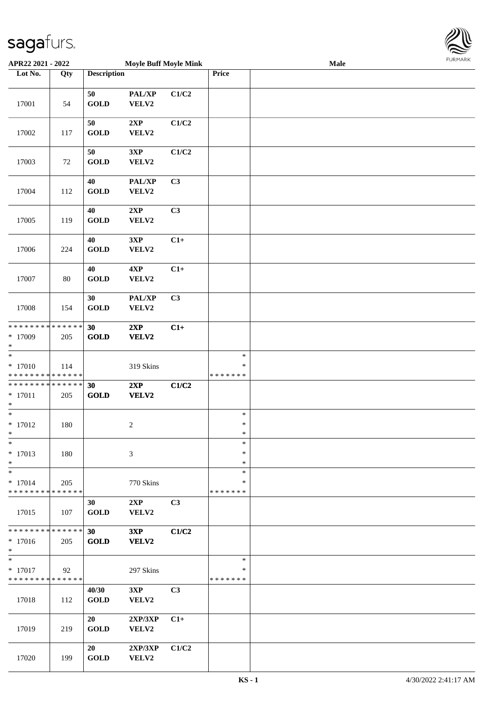

| APR22 2021 - 2022                                 |               |                      | <b>Moyle Buff Moyle Mink</b> |                |                                   | Male | 1.911171777 |
|---------------------------------------------------|---------------|----------------------|------------------------------|----------------|-----------------------------------|------|-------------|
| Lot No.                                           | Qty           | <b>Description</b>   |                              |                | Price                             |      |             |
|                                                   |               | 50                   | $\mathbf{PAL}/\mathbf{XP}$   | C1/C2          |                                   |      |             |
| 17001                                             | 54            | <b>GOLD</b>          | VELV2                        |                |                                   |      |             |
| 17002                                             | 117           | 50<br><b>GOLD</b>    | 2XP<br>VELV2                 | C1/C2          |                                   |      |             |
| 17003                                             | 72            | 50<br><b>GOLD</b>    | 3XP<br>VELV2                 | C1/C2          |                                   |      |             |
| 17004                                             | 112           | 40<br><b>GOLD</b>    | PAL/XP<br>VELV2              | C3             |                                   |      |             |
| 17005                                             | 119           | 40<br><b>GOLD</b>    | 2XP<br>VELV2                 | C3             |                                   |      |             |
| 17006                                             | 224           | 40<br><b>GOLD</b>    | 3XP<br>VELV2                 | $C1+$          |                                   |      |             |
| 17007                                             | 80            | 40<br><b>GOLD</b>    | 4XP<br>VELV2                 | $C1+$          |                                   |      |             |
| 17008                                             | 154           | 30<br><b>GOLD</b>    | PAL/XP<br>VELV2              | C3             |                                   |      |             |
| * * * * * * * * * * * * * *<br>$*17009$<br>$\ast$ | 205           | 30<br>GOLD           | 2XP<br>VELV2                 | $C1+$          |                                   |      |             |
| $*$<br>$* 17010$<br>* * * * * * * * * * * * * *   | 114           |                      | 319 Skins                    |                | $\ast$<br>$\ast$<br>* * * * * * * |      |             |
| * * * * * * * * * * * * * *<br>$* 17011$<br>$*$   | 205           | 30<br><b>GOLD</b>    | 2XP<br>VELV2                 | C1/C2          |                                   |      |             |
| $*$<br>$* 17012$<br>$*$                           | 180           |                      | $\boldsymbol{2}$             |                | $\ast$<br>$\ast$<br>$\ast$        |      |             |
| $*$<br>$* 17013$<br>$\ast$                        | 180           |                      | 3                            |                | $\ast$<br>$\ast$<br>$\ast$        |      |             |
| $*$<br>$* 17014$<br>* * * * * * * * * * * * * * * | 205           |                      | 770 Skins                    |                | $\ast$<br>∗<br>* * * * * * *      |      |             |
| 17015                                             | 107           | 30<br><b>GOLD</b>    | 2XP<br>VELV2                 | C3             |                                   |      |             |
| * * * * * * * *<br>$*17016$<br>$*$                | ******<br>205 | 30<br><b>GOLD</b>    | 3XP<br>VELV2                 | C1/C2          |                                   |      |             |
| $*$<br>$* 17017$<br>* * * * * * * * * * * * * *   | 92            |                      | 297 Skins                    |                | $\ast$<br>∗<br>*******            |      |             |
| 17018                                             | 112           | 40/30<br><b>GOLD</b> | 3XP<br>VELV2                 | C <sub>3</sub> |                                   |      |             |
| 17019                                             | 219           | 20<br><b>GOLD</b>    | 2XP/3XP<br><b>VELV2</b>      | $C1+$          |                                   |      |             |
| 17020                                             | 199           | 20<br><b>GOLD</b>    | 2XP/3XP<br>VELV2             | C1/C2          |                                   |      |             |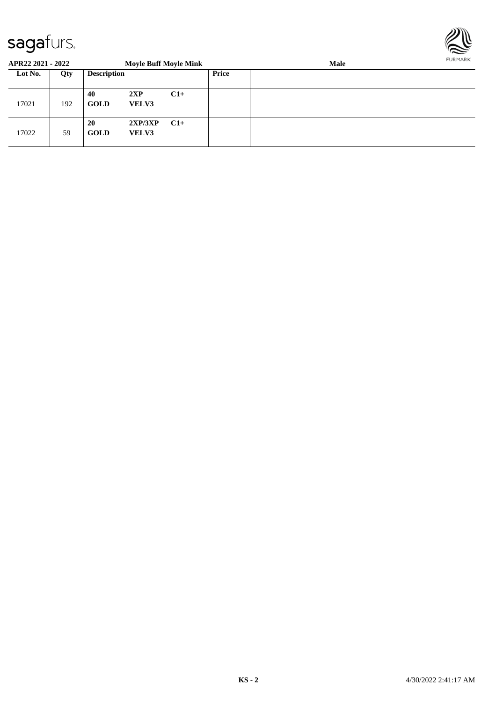

| APR22 2021 - 2022 |     |                    | <b>Moyle Buff Moyle Mink</b> |       |       | FURMARK |  |
|-------------------|-----|--------------------|------------------------------|-------|-------|---------|--|
| Lot No.           | Qty | <b>Description</b> |                              |       | Price |         |  |
| 17021             | 192 | 40<br><b>GOLD</b>  | 2XP<br><b>VELV3</b>          | $C1+$ |       |         |  |
| 17022             | 59  | 20<br><b>GOLD</b>  | 2XP/3XP<br><b>VELV3</b>      | $C1+$ |       |         |  |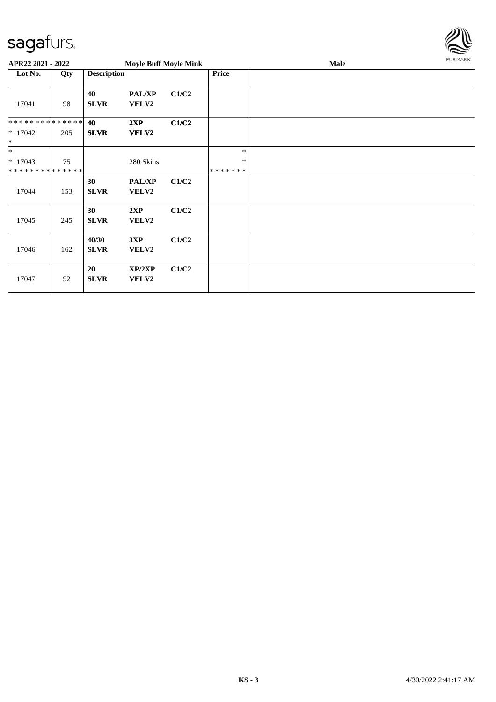

| APR22 2021 - 2022                                  |     |                      | <b>Moyle Buff Moyle Mink</b> |       |                              | <b>FURMARK</b> |  |
|----------------------------------------------------|-----|----------------------|------------------------------|-------|------------------------------|----------------|--|
| Lot No.                                            | Qty | <b>Description</b>   |                              |       | Price                        |                |  |
| 17041                                              | 98  | 40<br><b>SLVR</b>    | <b>PAL/XP</b><br>VELV2       | C1/C2 |                              |                |  |
| **************<br>$* 17042$<br>$\ast$              | 205 | 40<br><b>SLVR</b>    | 2XP<br>VELV2                 | C1/C2 |                              |                |  |
| $\ast$<br>$* 17043$<br>* * * * * * * * * * * * * * | 75  |                      | 280 Skins                    |       | *<br>$\ast$<br>* * * * * * * |                |  |
| 17044                                              | 153 | 30<br><b>SLVR</b>    | <b>PAL/XP</b><br>VELV2       | C1/C2 |                              |                |  |
| 17045                                              | 245 | 30<br><b>SLVR</b>    | 2XP<br>VELV2                 | C1/C2 |                              |                |  |
| 17046                                              | 162 | 40/30<br><b>SLVR</b> | 3XP<br>VELV2                 | C1/C2 |                              |                |  |
| 17047                                              | 92  | 20<br><b>SLVR</b>    | XP/2XP<br><b>VELV2</b>       | C1/C2 |                              |                |  |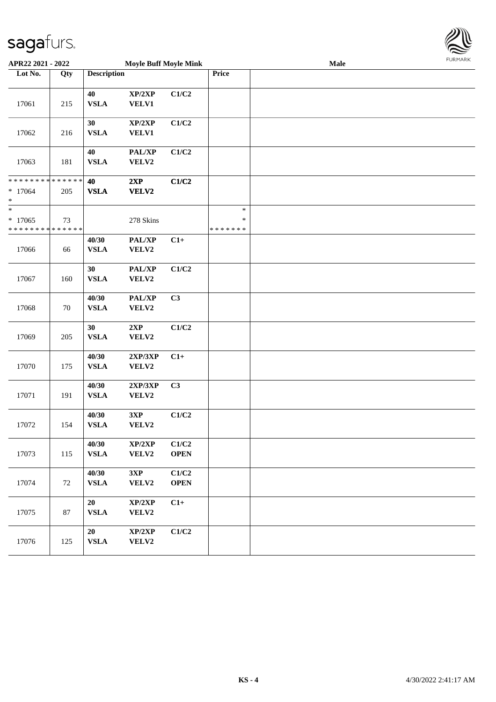

| APR22 2021 - 2022                                                 |     | <b>Moyle Buff Moyle Mink</b> |                        |                      |                                   | Male | FURMARK |
|-------------------------------------------------------------------|-----|------------------------------|------------------------|----------------------|-----------------------------------|------|---------|
| Lot No.                                                           | Qty | <b>Description</b>           |                        |                      | Price                             |      |         |
| 17061                                                             | 215 | 40<br><b>VSLA</b>            | XP/2XP<br><b>VELV1</b> | C1/C2                |                                   |      |         |
| 17062                                                             | 216 | 30<br><b>VSLA</b>            | XP/2XP<br><b>VELV1</b> | C1/C2                |                                   |      |         |
| 17063                                                             | 181 | 40<br><b>VSLA</b>            | PAL/XP<br>VELV2        | C1/C2                |                                   |      |         |
| * * * * * * * * <mark>* * * * * * *</mark><br>$* 17064$<br>$\ast$ | 205 | 40<br><b>VSLA</b>            | 2XP<br>VELV2           | C1/C2                |                                   |      |         |
| $\frac{1}{1}$<br>$*17065$<br>* * * * * * * * * * * * * *          | 73  |                              | 278 Skins              |                      | $\ast$<br>$\ast$<br>* * * * * * * |      |         |
| 17066                                                             | 66  | 40/30<br><b>VSLA</b>         | PAL/XP<br>VELV2        | $C1+$                |                                   |      |         |
| 17067                                                             | 160 | 30<br><b>VSLA</b>            | PAL/XP<br>VELV2        | C1/C2                |                                   |      |         |
| 17068                                                             | 70  | 40/30<br><b>VSLA</b>         | PAL/XP<br>VELV2        | C3                   |                                   |      |         |
| 17069                                                             | 205 | 30<br><b>VSLA</b>            | 2XP<br>VELV2           | C1/C2                |                                   |      |         |
| 17070                                                             | 175 | 40/30<br><b>VSLA</b>         | 2XP/3XP<br>VELV2       | $C1+$                |                                   |      |         |
| 17071                                                             | 191 | 40/30<br><b>VSLA</b>         | 2XP/3XP<br>VELV2       | C3                   |                                   |      |         |
| 17072                                                             | 154 | 40/30<br><b>VSLA</b>         | 3XP<br>VELV2           | C1/C2                |                                   |      |         |
| 17073                                                             | 115 | 40/30<br><b>VSLA</b>         | XP/2XP<br>VELV2        | C1/C2<br><b>OPEN</b> |                                   |      |         |
| 17074                                                             | 72  | 40/30<br>${\bf VSLA}$        | 3XP<br>VELV2           | C1/C2<br><b>OPEN</b> |                                   |      |         |
| 17075                                                             | 87  | 20<br><b>VSLA</b>            | XP/2XP<br>VELV2        | $C1+$                |                                   |      |         |
| 17076                                                             | 125 | 20<br>${\bf VSLA}$           | XP/2XP<br>VELV2        | C1/C2                |                                   |      |         |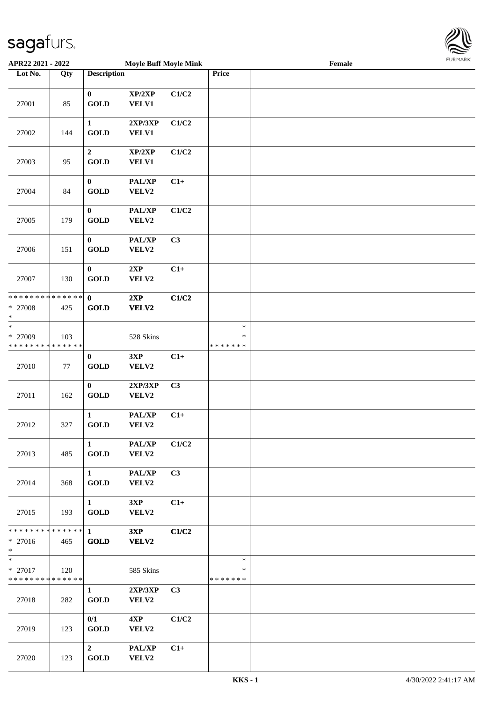

| APR22 2021 - 2022                                  |     |                                       | <b>Moyle Buff Moyle Mink</b> |                |                                   | Female |  |
|----------------------------------------------------|-----|---------------------------------------|------------------------------|----------------|-----------------------------------|--------|--|
| Lot No.                                            | Qty | <b>Description</b>                    |                              |                | Price                             |        |  |
| 27001                                              | 85  | $\bf{0}$<br>GOLD                      | XP/2XP<br><b>VELV1</b>       | C1/C2          |                                   |        |  |
| 27002                                              | 144 | $\mathbf{1}$<br><b>GOLD</b>           | 2XP/3XP<br><b>VELV1</b>      | C1/C2          |                                   |        |  |
| 27003                                              | 95  | $\boldsymbol{2}$<br><b>GOLD</b>       | XP/2XP<br><b>VELV1</b>       | C1/C2          |                                   |        |  |
| 27004                                              | 84  | $\bf{0}$<br>GOLD                      | PAL/XP<br>VELV2              | $C1+$          |                                   |        |  |
| 27005                                              | 179 | $\bf{0}$<br><b>GOLD</b>               | PAL/XP<br>VELV2              | C1/C2          |                                   |        |  |
| 27006                                              | 151 | $\bf{0}$<br><b>GOLD</b>               | PAL/XP<br>VELV2              | C3             |                                   |        |  |
| 27007                                              | 130 | $\bf{0}$<br><b>GOLD</b>               | 2XP<br>VELV2                 | $C1+$          |                                   |        |  |
| * * * * * * * * * * * * * * *<br>* 27008<br>$\ast$ | 425 | $\mathbf{0}$<br>GOLD                  | 2XP<br>VELV2                 | C1/C2          |                                   |        |  |
| $\ast$<br>* 27009<br>* * * * * * * * * * * * * *   | 103 |                                       | 528 Skins                    |                | $\ast$<br>$\ast$<br>* * * * * * * |        |  |
| 27010                                              | 77  | $\bf{0}$<br>$\operatorname{GOLD}$     | 3XP<br>VELV2                 | $C1+$          |                                   |        |  |
| 27011                                              | 162 | $\bf{0}$<br>$\operatorname{GOLD}$     | 2XP/3XP<br>VELV2             | C3             |                                   |        |  |
| 27012                                              | 327 | $\mathbf{1}$<br><b>GOLD</b>           | PAL/XP<br>VELV2              | $C1+$          |                                   |        |  |
| 27013                                              | 485 | $\mathbf{1}$<br><b>GOLD</b>           | PAL/XP<br>VELV2              | C1/C2          |                                   |        |  |
| 27014                                              | 368 | $1 \quad \blacksquare$<br><b>GOLD</b> | PAL/XP<br>VELV2              | C3             |                                   |        |  |
| 27015                                              | 193 | $1 \quad \blacksquare$<br><b>GOLD</b> | 3XP<br>VELV2                 | $C1+$          |                                   |        |  |
| * * * * * * * * * * * * * * *<br>* 27016<br>$*$    | 465 | $1 \quad \blacksquare$<br><b>GOLD</b> | 3XP<br>VELV2                 | C1/C2          |                                   |        |  |
| $*$<br>* 27017<br>* * * * * * * * * * * * * *      | 120 |                                       | 585 Skins                    |                | $\ast$<br>$\ast$<br>*******       |        |  |
| 27018                                              | 282 | $\mathbf{1}$<br><b>GOLD</b>           | 2XP/3XP<br>VELV2             | C <sub>3</sub> |                                   |        |  |
| 27019                                              | 123 | 0/1<br><b>GOLD</b>                    | 4XP<br>VELV2                 | C1/C2          |                                   |        |  |
| 27020                                              | 123 | $\overline{2}$<br>GOLD                | PAL/XP<br>VELV2              | $C1+$          |                                   |        |  |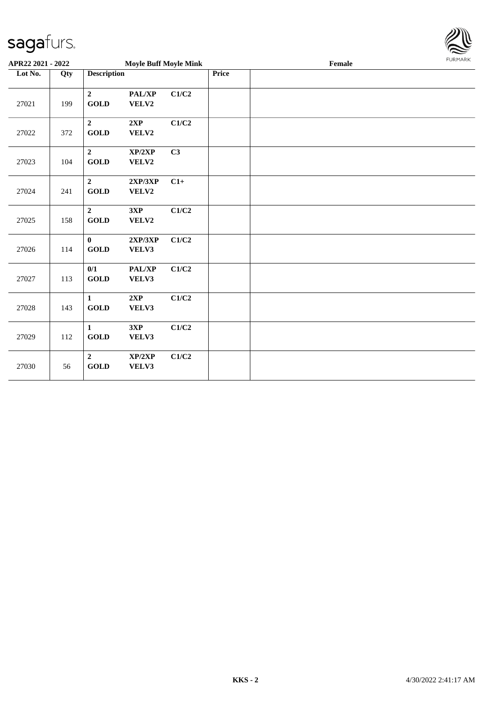

| APR22 2021 - 2022 |     |                                                  | <b>Moyle Buff Moyle Mink</b> |                           |       |  |                                             | <b>FURPIARR</b> |  |  |
|-------------------|-----|--------------------------------------------------|------------------------------|---------------------------|-------|--|---------------------------------------------|-----------------|--|--|
| Lot No.           | Qty | <b>Description</b>                               |                              |                           | Price |  | $\ensuremath{\textnormal{\textbf{Female}}}$ |                 |  |  |
| 27021             | 199 | $\boldsymbol{2}$<br>GOLD                         | PAL/XP<br>VELV2              | C1/C2                     |       |  |                                             |                 |  |  |
| 27022             | 372 | $\overline{2}$<br>GOLD                           | 2XP<br>VELV2                 | C1/C2                     |       |  |                                             |                 |  |  |
| 27023             | 104 | $\overline{2}$<br><b>GOLD</b>                    | XP/2XP<br>VELV2              | C3                        |       |  |                                             |                 |  |  |
| 27024             | 241 | $\overline{2}$<br>$\operatorname{\mathbf{GOLD}}$ | 2XP/3XP<br>VELV2             | $C1+$                     |       |  |                                             |                 |  |  |
| 27025             | 158 | $\overline{2}$<br><b>GOLD</b>                    | 3XP<br>VELV2                 | C1/C2                     |       |  |                                             |                 |  |  |
| 27026             | 114 | $\mathbf{0}$<br><b>GOLD</b>                      | 2XP/3XP<br>VELV3             | C1/C2                     |       |  |                                             |                 |  |  |
| 27027             | 113 | 0/1<br>GOLD                                      | PAL/XP<br>VELV3              | C1/C2                     |       |  |                                             |                 |  |  |
| 27028             | 143 | $\mathbf{1}$<br>GOLD                             | 2XP<br>VELV3                 | $\mathbf{C1}/\mathbf{C2}$ |       |  |                                             |                 |  |  |
| 27029             | 112 | $\mathbf{1}$<br>$\operatorname{GOLD}$            | 3XP<br>VELV3                 | C1/C2                     |       |  |                                             |                 |  |  |
| 27030             | 56  | $\overline{2}$<br>GOLD                           | XP/2XP<br>VELV3              | C1/C2                     |       |  |                                             |                 |  |  |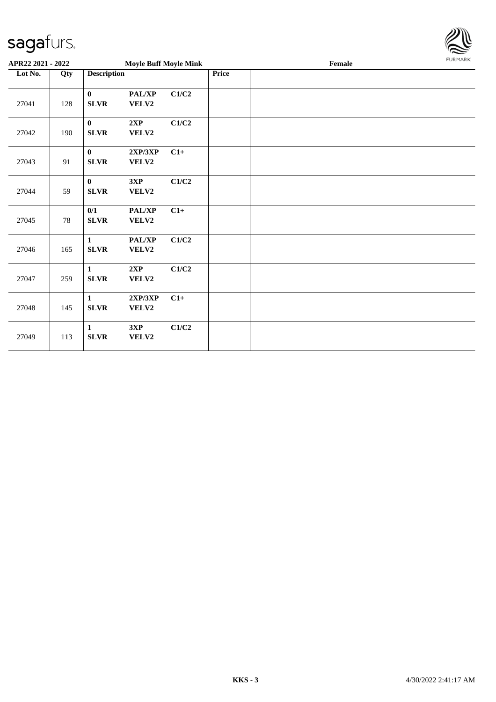

| APR22 2021 - 2022 |     |                             | <b>Moyle Buff Moyle Mink</b>        |       | Female |  |  |  |  |
|-------------------|-----|-----------------------------|-------------------------------------|-------|--------|--|--|--|--|
| Lot No.           | Qty | <b>Description</b>          |                                     |       | Price  |  |  |  |  |
| 27041             | 128 | $\mathbf{0}$<br><b>SLVR</b> | PAL/XP<br>VELV2                     | C1/C2 |        |  |  |  |  |
| 27042             | 190 | $\mathbf{0}$<br><b>SLVR</b> | 2XP<br>VELV2                        | C1/C2 |        |  |  |  |  |
| 27043             | 91  | $\bf{0}$<br>SLVR            | 2XP/3XP<br>VELV2                    | $C1+$ |        |  |  |  |  |
| 27044             | 59  | $\bf{0}$<br>SLVR            | 3XP<br>VELV2                        | C1/C2 |        |  |  |  |  |
| 27045             | 78  | 0/1<br>SLVR                 | PAL/XP<br>VELV2                     | $C1+$ |        |  |  |  |  |
| 27046             | 165 | $\mathbf{1}$<br><b>SLVR</b> | $\mathbf{PAL}/\mathbf{XP}$<br>VELV2 | C1/C2 |        |  |  |  |  |
| 27047             | 259 | $\mathbf{1}$<br>SLVR        | 2XP<br>VELV2                        | C1/C2 |        |  |  |  |  |
| 27048             | 145 | $\mathbf{1}$<br>SLVR        | 2XP/3XP<br>VELV2                    | $C1+$ |        |  |  |  |  |
| 27049             | 113 | $\mathbf{1}$<br>SLVR        | 3XP<br>VELV2                        | C1/C2 |        |  |  |  |  |